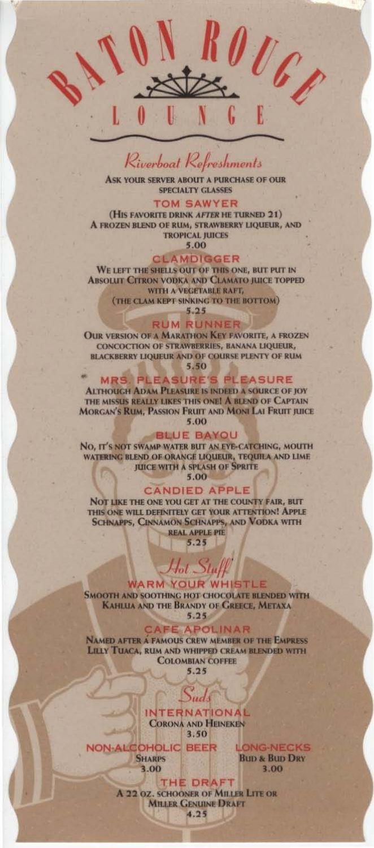# Riverboat Refreshments

ASK YOUR SERVER ABOUT A PURCHASE OF OUR **SPECIALTY GLASSES** 

### **TOM SAWYER**

(HIS FAVORITE DRINK AFTER HE TURNED 21) A FROZEN BLEND OF RUM, STRAWBERRY LIQUEUR, AND **TROPICAL JUICES** 

5.00

#### **CLAMDIGGER**

WE LEFT THE SHELLS OUT OF THIS ONE, BUT PUT IN **ABSOLUT CITRON VODKA AND CLAMATO JUICE TOPPED** WITH A VEGETABLE RAFT, (THE CLAM KEPT SINKING TO THE BOTTOM)

 $5.25$ 

**RUM RUNNER** 

**OUR VERSION OF A MARATHON KEY FAVORITE, A FROZEN** CONCOCTION OF STRAWBERRIES, BANANA LIQUEUR, **BLACKBERRY LIQUEUR AND OF COURSE PLENTY OF RUM** 5.50

**MRS. PLEASURE'S PLEASURE ALTHOUGH ADAM PLEASURE IS INDEED A SOURCE OF JOY** THE MISSUS REALLY LIKES THIS ONE! A BLEND OF CAPTAIN **MORGAN'S RUM, PASSION FRUIT AND MONI LAI FRUIT JUICE** 5.00

#### **BLUE BAYOU**

NO. IT'S NOT SWAMP WATER BUT AN EYE-CATCHING, MOUTH WATERING BLEND OF ORANGE LIQUEUR, TEQUILA AND LIME **JUICE WITH A SPLASH OF SPRITE** 

5.00

# **CANDIED APPLE**

NOT LIKE THE ONE YOU GET AT THE COUNTY FAIR, BUT THIS ONE WILL DEFINITELY GET YOUR ATTENTION! APPLE **SCHNAPPS, CINNAMON SCHNAPPS, AND VODKA WITH REAL APPLE PIE** 

 $5.25$ 

# $\mathcal{H}_{ol}$   $Stuff$ **WARM YOUR WHISTLE**

**SMOOTH AND SOOTHING HOT CHOCOLATE BLENDED WITH** KAHLUA AND THE BRANDY OF GREECE, METAXA  $5.25$ 

**CAFE APOLINAR** 

**NAMED AFTER A FAMOUS CREW MEMBER OF THE EMPRESS** LILLY TUACA, RUM AND WHIPPED CREAM BLENDED WITH **COLOMBIAN COFFEE** 

 $5.25$ 

**INTERNATIONAL CORONA AND HEINEKEN** 3.50

ud

**NON-ALCOHOLIC BEER SHARPS** 3.00

**LONG-NECKS BUD & BUD DRY** 3.00

**THE DRAFT** A 22 OZ. SCHOONER OF MILLER LITE OR **MILLER GENUINE DRAFT** 4.25